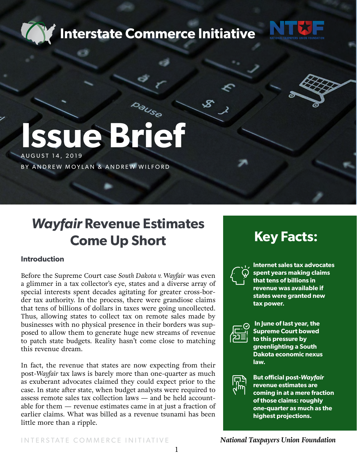



# **Issue Brief**

AUGUST 14, 2019

BY ANDREW MOYLAN & ANDREW WILFORD

## *Wayfair* **Revenue Estimates Come Up Short**

#### **Introduction**

Before the Supreme Court case *South Dakota v. Wayfair* was even a glimmer in a tax collector's eye, states and a diverse array of special interests spent decades agitating for greater cross-border tax authority. In the process, there were grandiose claims that tens of billions of dollars in taxes were going uncollected. Thus, allowing states to collect tax on remote sales made by businesses with no physical presence in their borders was supposed to allow them to generate huge new streams of revenue to patch state budgets. Reality hasn't come close to matching this revenue dream.

In fact, the revenue that states are now expecting from their post-*Wayfair* tax laws is barely more than one-quarter as much as exuberant advocates claimed they could expect prior to the case. In state after state, when budget analysts were required to assess remote sales tax collection laws — and be held accountable for them — revenue estimates came in at just a fraction of earlier claims. What was billed as a revenue tsunami has been little more than a ripple.

### **Key Facts:**



**Internet sales tax advocates spent years making claims that tens of billions in revenue was available if states were granted new tax power.**



 **In June of last year, the Supreme Court bowed to this pressure by greenlighting a South Dakota economic nexus law.**



**But official post-***Wayfair* **revenue estimates are coming in at a mere fraction of those claims: roughly one-quarter as much as the highest projections.**

 *National Taxpayers Union Foundation*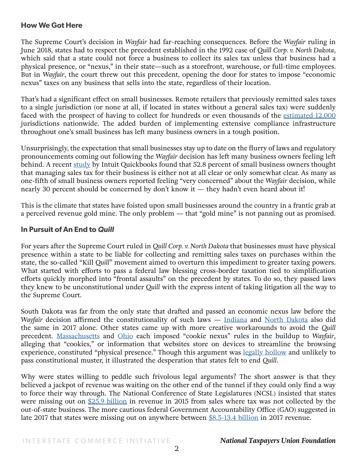#### **How We Got Here**

The Supreme Court's decision in *Wayfair* had far-reaching consequences. Before the *Wayfair* ruling in June 2018, states had to respect the precedent established in the 1992 case of *Quill Corp. v. North Dakota*, which said that a state could not force a business to collect its sales tax unless that business had a physical presence, or "nexus," in their state—such as a storefront, warehouse, or full-time employees. But in *Wayfair*, the court threw out this precedent, opening the door for states to impose "economic nexus" taxes on any business that sells into the state, regardless of their location.

That's had a significant effect on small businesses. Remote retailers that previously remitted sales taxes to a single jurisdiction (or none at all, if located in states without a general sales tax) were suddenly faced with the prospect of having to collect for hundreds or even thousands of the [estimated 12,000](https://www.ntu.org/foundation/detail/ntuf-executive-vice-president-andrew-moylan-testimony-to-house-judiciary-committee) jurisdictions nationwide. The added burden of implementing extensive compliance infrastructure throughout one's small business has left many business owners in a tough position.

Unsurprisingly, the expectation that small businesses stay up to date on the flurry of laws and regulatory pronouncements coming out following the *Wayfair* decision has left many business owners feeling left behind. A recent [study](https://www.performancemagazine.org/wayfair-decision-american-ecommerce/) by Intuit Quickbooks found that 52.8 percent of small business owners thought that managing sales tax for their business is either not at all clear or only somewhat clear. As many as one-fifth of small business owners reported feeling "very concerned" about the *Wayfair* decision, while nearly 30 percent should be concerned by don't know it — they hadn't even heard about it!

This is the climate that states have foisted upon small businesses around the country in a frantic grab at a perceived revenue gold mine. The only problem — that "gold mine" is not panning out as promised.

#### **In Pursuit of An End to** *Quill*

For years after the Supreme Court ruled in *Quill Corp. v. North Dakota* that businesses must have physical presence within a state to be liable for collecting and remitting sales taxes on purchases within the state, the so-called "Kill *Quill*" movement aimed to overturn this impediment to greater taxing powers. What started with efforts to pass a federal law blessing cross-border taxation tied to simplification efforts quickly morphed into "frontal assaults" on the precedent by states. To do so, they passed laws they knew to be unconstitutional under *Quill* with the express intent of taking litigation all the way to the Supreme Court.

South Dakota was far from the only state that drafted and passed an economic nexus law before the *Wayfair* decision affirmed the constitutionality of such laws — [Indiana](http://iga.in.gov/legislative/2017/bills/house/1129) and [North Dakota](https://www.legis.nd.gov/assembly/65-2017/bill-actions/ba2298.html) also did the same in 2017 alone. Other states came up with more creative workarounds to avoid the *Quill*  precedent. [Massachusetts](https://www.reedsmith.com/en/perspectives/2017/09/ma-to-move-forward-with-new-cookie-nexus-regulation-effective-october-1) and [Ohio](https://www.bna.com/ohio-cookie-nexus-n73014461659/) each imposed "cookie nexus" rules in the buildup to *Wayfair*, alleging that "cookies," or information that websites store on devices to streamline the browsing experience, constituted "physical presence." Though this argument was [legally hollow](https://www.bna.com/ohio-cookie-nexus-n73014461659/) and unlikely to pass constitutional muster, it illustrated the desperation that states felt to end *Quill*.

Why were states willing to peddle such frivolous legal arguments? The short answer is that they believed a jackpot of revenue was waiting on the other end of the tunnel if they could only find a way to force their way through. The National Conference of State Legislatures (NCSL) insisted that states were missing out on [\\$25.9 billion](http://src.bna.com/njq) in revenue in 2015 from sales where tax was not collected by the out-of-state business. The more cautious federal Government Accountability Office (GAO) suggested in late 2017 that states were missing out on anywhere between [\\$8.5-13.4 billion](https://www.gao.gov/assets/690/688437.pdf) in 2017 revenue.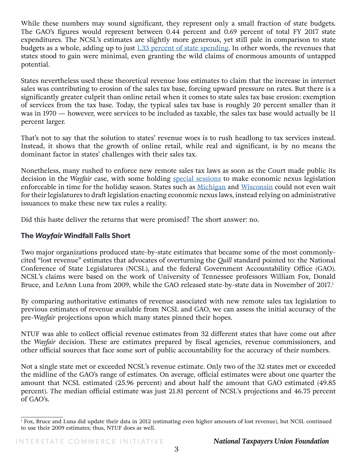While these numbers may sound significant, they represent only a small fraction of state budgets. The GAO's figures would represent between 0.44 percent and 0.69 percent of total FY 2017 state expenditures. The NCSL's estimates are slightly more generous, yet still pale in comparison to state budgets as a whole, adding up to just [1.33 percent of state spending.](https://www.kff.org/other/state-indicator/total-state-spending/?currentTimeframe=0&sortModel=%7B%22colId%22:%22Location%22,%22sort%22:%22asc%22%7D) In other words, the revenues that states stood to gain were minimal, even granting the wild claims of enormous amounts of untapped potential.

States nevertheless used these theoretical revenue loss estimates to claim that the increase in internet sales was contributing to erosion of the sales tax base, forcing upward pressure on rates. But there is a significantly greater culprit than online retail when it comes to state sales tax base erosion: exemption of services from the tax base. Today, the typical sales tax base is roughly 20 percent smaller than it was in 1970 — however, were services to be included as taxable, the sales tax base would actually be 11 percent larger.

That's not to say that the solution to states' revenue woes is to rush headlong to tax services instead. Instead, it shows that the growth of online retail, while real and significant, is by no means the dominant factor in states' challenges with their sales tax.

Nonetheless, many rushed to enforce new remote sales tax laws as soon as the Court made public its decision in the *Wayfair* case, with some holding [special sessions](https://sdlegislature.gov/docs/interim/2018/documents/DAPP09112018.pdf) to make economic nexus legislation enforceable in time for the holiday season. States such as [Michigan](https://www.detroitnews.com/story/opinion/2019/01/29/bureaucrats-burden-business/2702892002/) and [Wisconsin](https://madison.com/wsj/opinion/column/andrew-wilford-and-lucas-vebber-wisconsin-s-tax-web-gets/article_8e345184-285c-5095-b659-0f5c8c90d2bc.html) could not even wait for their legislatures to draft legislation enacting economic nexus laws, instead relying on administrative issuances to make these new tax rules a reality.

Did this haste deliver the returns that were promised? The short answer: no.

#### **The** *Wayfair* **Windfall Falls Short**

Two major organizations produced state-by-state estimates that became some of the most commonlycited "lost revenue" estimates that advocates of overturning the *Quill* standard pointed to: the National Conference of State Legislatures (NCSL), and the federal Government Accountability Office (GAO). NCSL's claims were based on the work of University of Tennessee professors William Fox, Donald Bruce, and LeAnn Luna from 2009, while the GAO released state-by-state data in November of 2017.<sup>1</sup>

By comparing authoritative estimates of revenue associated with new remote sales tax legislation to previous estimates of revenue available from NCSL and GAO, we can assess the initial accuracy of the pre-*Wayfair* projections upon which many states pinned their hopes.

NTUF was able to collect official revenue estimates from 32 different states that have come out after the *Wayfair* decision. These are estimates prepared by fiscal agencies, revenue commissioners, and other official sources that face some sort of public accountability for the accuracy of their numbers.

Not a single state met or exceeded NCSL's revenue estimate. Only two of the 32 states met or exceeded the midline of the GAO's range of estimates. On average, official estimates were about one quarter the amount that NCSL estimated (25.96 percent) and about half the amount that GAO estimated (49.85 percent). The median official estimate was just 21.81 percent of NCSL's projections and 46.75 percent of GAO's.

<sup>1</sup> Fox, Bruce and Luna did update their data in 2012 (estimating even higher amounts of lost revenue), but NCSL continued to use their 2009 estimates; thus, NTUF does as well.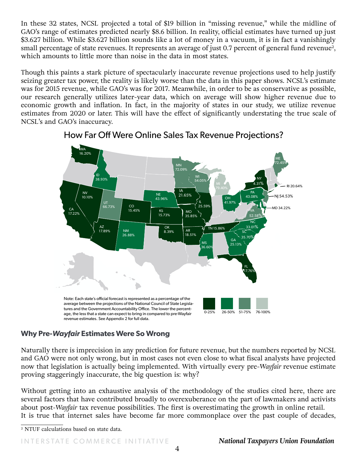In these 32 states, NCSL projected a total of \$19 billion in "missing revenue," while the midline of GAO's range of estimates predicted nearly \$8.6 billion. In reality, official estimates have turned up just \$3.627 billion. While \$3.627 billion sounds like a lot of money in a vacuum, it is in fact a vanishingly small percentage of state revenues. It represents an average of just 0.7 percent of general fund revenue<sup>2</sup>, which amounts to little more than noise in the data in most states.

Though this paints a stark picture of spectacularly inaccurate revenue projections used to help justify seizing greater tax power, the reality is likely worse than the data in this paper shows. NCSL's estimate was for 2015 revenue, while GAO's was for 2017. Meanwhile, in order to be as conservative as possible, our research generally utilizes later-year data, which on average will show higher revenue due to economic growth and inflation. In fact, in the majority of states in our study, we utilize revenue estimates from 2020 or later. This will have the effect of significantly understating the true scale of NCSL's and GAO's inaccuracy.





#### **Why Pre-***Wayfair* **Estimates Were So Wrong**

Naturally there is imprecision in any prediction for future revenue, but the numbers reported by NCSL and GAO were not only wrong, but in most cases not even close to what fiscal analysts have projected now that legislation is actually being implemented. With virtually every pre-*Wayfair* revenue estimate proving staggeringly inaccurate, the big question is: why?

Without getting into an exhaustive analysis of the methodology of the studies cited here, there are several factors that have contributed broadly to overexuberance on the part of lawmakers and activists about post-*Wayfair* tax revenue possibilities. The first is overestimating the growth in online retail. It is true that internet sales have become far more commonplace over the past couple of decades,

2 NTUF calculations based on state data.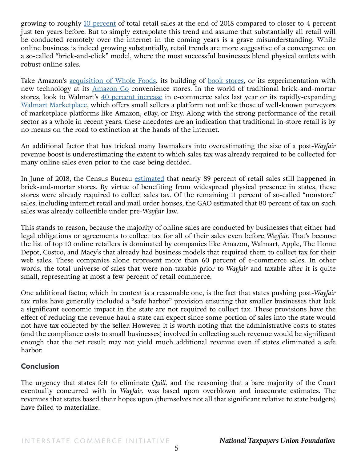growing to roughly [10 percent](https://www.census.gov/retail/mrts/www/data/pdf/ec_current.pdf) of total retail sales at the end of 2018 compared to closer to 4 percent just ten years before. But to simply extrapolate this trend and assume that substantially all retail will be conducted remotely over the internet in the coming years is a grave misunderstanding. While online business is indeed growing substantially, retail trends are more suggestive of a convergence on a so-called "brick-and-click" model, where the most successful businesses blend physical outlets with robust online sales.

Take Amazon's [acquisition of Whole Foods,](https://www.cnbc.com/2019/02/19/amazon-changes-reporting-on-physical-stores.html) its building of [book stores](https://www.theguardian.com/technology/2017/may/26/amazon-new-york-bookstore), or its experimentation with new technology at its [Amazon Go](https://www.amazon.com/b?ie=UTF8&node=16008589011) convenience stores. In the world of traditional brick-and-mortar stores, look to Walmart's [40 percent increase](https://www.retaildive.com/news/walmart-e-commerce-sales-grow-43/548690/) in e-commerce sales last year or its rapidly-expanding [Walmart Marketplace](https://marketplace.walmart.com/), which offers small sellers a platform not unlike those of well-known purveyors of marketplace platforms like Amazon, eBay, or Etsy. Along with the strong performance of the retail sector as a whole in recent years, these anecdotes are an indication that traditional in-store retail is by no means on the road to extinction at the hands of the internet.

An additional factor that has tricked many lawmakers into overestimating the size of a post-*Wayfair*  revenue boost is underestimating the extent to which sales tax was already required to be collected for many online sales even prior to the case being decided.

In June of 2018, the Census Bureau **estimated** that nearly 89 percent of retail sales still happened in brick-and-mortar stores. By virtue of benefiting from widespread physical presence in states, these stores were already required to collect sales tax. Of the remaining 11 percent of so-called "nonstore" sales, including internet retail and mail order houses, the GAO estimated that 80 percent of tax on such sales was already collectible under pre-*Wayfair* law.

This stands to reason, because the majority of online sales are conducted by businesses that either had legal obligations or agreements to collect tax for all of their sales even before *Wayfair.* That's because the list of top 10 online retailers is dominated by companies like Amazon, Walmart, Apple, The Home Depot, Costco, and Macy's that already had business models that required them to collect tax for their web sales. These companies alone represent more than 60 percent of e-commerce sales. In other words, the total universe of sales that were non-taxable prior to *Wayfair* and taxable after it is quite small, representing at most a few percent of retail commerce.

One additional factor, which in context is a reasonable one, is the fact that states pushing post-*Wayfair* tax rules have generally included a "safe harbor" provision ensuring that smaller businesses that lack a significant economic impact in the state are not required to collect tax. These provisions have the effect of reducing the revenue haul a state can expect since some portion of sales into the state would not have tax collected by the seller. However, it is worth noting that the administrative costs to states (and the compliance costs to small businesses) involved in collecting such revenue would be significant enough that the net result may not yield much additional revenue even if states eliminated a safe harbor.

#### **Conclusion**

The urgency that states felt to eliminate *Quill*, and the reasoning that a bare majority of the Court eventually concurred with in *Wayfair*, was based upon overblown and inaccurate estimates. The revenues that states based their hopes upon (themselves not all that significant relative to state budgets) have failed to materialize.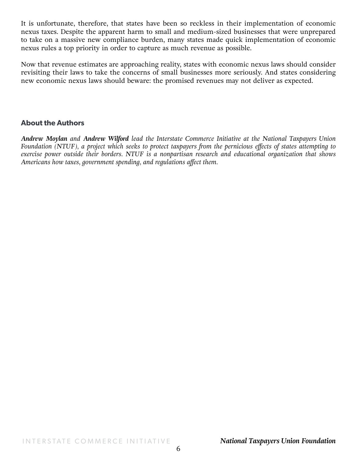It is unfortunate, therefore, that states have been so reckless in their implementation of economic nexus taxes. Despite the apparent harm to small and medium-sized businesses that were unprepared to take on a massive new compliance burden, many states made quick implementation of economic nexus rules a top priority in order to capture as much revenue as possible.

Now that revenue estimates are approaching reality, states with economic nexus laws should consider revisiting their laws to take the concerns of small businesses more seriously. And states considering new economic nexus laws should beware: the promised revenues may not deliver as expected.

#### **About the Authors**

*Andrew Moylan and Andrew Wilford lead the Interstate Commerce Initiative at the National Taxpayers Union Foundation (NTUF), a project which seeks to protect taxpayers from the pernicious effects of states attempting to exercise power outside their borders. NTUF is a nonpartisan research and educational organization that shows Americans how taxes, government spending, and regulations affect them.*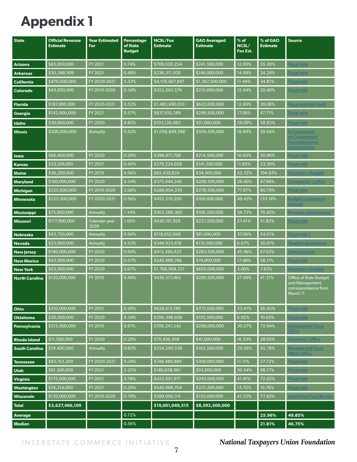# **Appendix 1**

| <b>State</b>          | <b>Official Revenue</b><br><b>Estimate</b> | <b>Year Estimated</b><br>For | Percentage<br>of State<br><b>Budget</b> | <b>NCSL/Fox</b><br><b>Estimate</b> | <b>GAO Averaged</b><br><b>Estimate</b> | $%$ of<br>NCSL/<br>Fox Est. | % of GAO<br><b>Estimate</b> | <b>Source</b>                                                                       |
|-----------------------|--------------------------------------------|------------------------------|-----------------------------------------|------------------------------------|----------------------------------------|-----------------------------|-----------------------------|-------------------------------------------------------------------------------------|
| <b>Arizona</b>        | \$85,000,000                               | FY 2021                      | 0.74%                                   | \$708,628,254                      | \$241,500,000                          | 12.00%                      | 35.20%                      | <b>Fiscal note</b>                                                                  |
| <b>Arkansas</b>       | \$35,388,909                               | FY 2021                      | 0.49%                                   | \$236,311,930                      | \$146,000,000                          | 14.98%                      | 24.24%                      | <b>Fiscal note</b>                                                                  |
| <b>California</b>     | \$476,000,000                              | FY 2020-2021                 | 0.33%                                   | \$4,159,667,947                    | \$1,367,500,000                        | 11.44%                      | 34.81%                      | <b>Fiscal note</b>                                                                  |
| Colorado              | \$43,850,000                               | FY 2019-2020                 | 0.34%                                   | \$352,563,574                      | \$215,000,000                          | 12.44%                      | 20.40%                      | Fiscal note                                                                         |
| <b>Florida</b>        | \$187,000,000                              | FY 2020-2021                 | 0.52%                                   | \$1,483,690,010                    | \$622,000,000                          | 12.60%                      | 30.06%                      | Fiscal note (bill died)                                                             |
| Georgia               | \$142,900,000                              | <b>FY 2021</b>               | 0.57%                                   | \$837,610,389                      | \$299,500,000                          | 17.06%                      | 47.71%                      | Fiscal note                                                                         |
| Idaho                 | \$30,000,000                               | FY 2020                      | 0.85%                                   | \$103,120,482                      | \$51,000,000                           | 29.09%                      | 58.82%                      | <b>Fiscal note</b>                                                                  |
| <b>Illinois</b>       | \$200,000,000                              | Annually                     | 0.52%                                   | \$1,058,849,588                    | \$504,500,000                          | 18.89%                      | 39.64%                      | <b>L</b> Commission<br>on Government<br>Forecasting and<br><b>Accountability</b>    |
| lowa                  | \$66,400,000                               | FY 2020                      | 0.29%                                   | \$398,817,708                      | \$214,500,000                          | 16.65%                      | 30.96%                      | <b>Fiscal note</b>                                                                  |
| <b>Kansas</b>         | \$33,100,000                               | FY 2021                      | 0.45%                                   | \$279,224,028                      | \$141,500,000                          | 11.85%                      | 23.39%                      | <b>Fiscal note</b>                                                                  |
| <b>Maine</b>          | \$36,200,000                               | FY 2019                      | 0.96%                                   | \$65,430,824                       | \$34,500,000                           | 55.33%                      | 104.93%                     | <b>Governor's Budget</b>                                                            |
| <b>Maryland</b>       | \$100,000,000                              | FY 2020                      | 0.54%                                   | \$375,944,240                      | \$208,500,000                          | 26.60%                      | 47.96%                      | Comptroller's office                                                                |
| <b>Michigan</b>       | \$225,000,000                              | FY 2019-2020                 | 2.06%                                   | \$288,954,339                      | \$278,500,000                          | 77.87%                      | 80.79%                      | <b>Fiscal note</b>                                                                  |
| <b>Minnesota</b>      | \$225,000,000                              | FY 2020-2021                 | 0.96%                                   | \$455,219,250                      | \$169,000,000                          | 49.43%                      | 133.14%                     | <b>Budget commission</b><br>forecast                                                |
| <b>Mississippi</b>    | \$75,000,000                               | Annually                     | 1.34%                                   | \$303,286,360                      | \$106,500,000                          | 24.73%                      | 70.42%                      | Revenue commissioner                                                                |
| <b>Missouri</b>       | \$117,900,000                              | Calendar year<br>2020        | 1.06%                                   | \$430,191,928                      | \$227,500,000                          | 27.41%                      | 51.82%                      | Fiscal note                                                                         |
| <b>Nebraska</b>       | \$43,750,000                               | <b>Annually</b>              | 0.94%                                   | \$118,052,068                      | \$81,000,000                           | 37.06%                      | 54.01%                      | <b>Fiscal note 1</b>                                                                |
| <b>Nevada</b>         | \$23,000,000                               | Annually                     | 0.53%                                   | \$344,923,618                      | \$110,500,000                          | 6.67%                       | 20.81%                      | <b>Taxation department</b>                                                          |
| <b>New Jersey</b>     | \$190,000,000                              | FY 2020                      | 0.94%                                   | \$413,390,425                      | \$283,500,000                          | 45.96%                      | 67.02%                      | <b>State treasurer</b>                                                              |
| <b>New Mexico</b>     | \$43,000,000                               | FY 2020                      | 0.57%                                   | \$245,989,786                      | \$74,000,000                           | 17.48%                      | 58.11%                      | <b>Fiscal note</b>                                                                  |
| <b>New York</b>       | \$53,000,000                               | FY 2020                      | 0.07%                                   | \$1,766,968,251                    | \$695,000,000                          | 3.00%                       | 7.63%                       | Governor's budget                                                                   |
| <b>North Carolina</b> | \$120,000,000                              | <b>FY 2019</b>               | 0.49%                                   | \$436,517,492                      | \$290,500,000                          | 27.49%                      | 41.31%                      | <b>Office of State Budget</b><br>and Management,<br>correspondence from<br>March 11 |
| Ohio                  | \$210,000,000                              | FY 2021                      | 0.26%                                   | \$628,613,189                      | \$372,000,000                          | 33.41%                      | 56.45%                      | <b>Fiscal note</b>                                                                  |
| <b>Oklahoma</b>       | \$20,500,000                               | FY 2020                      | 0.34%                                   | \$296,348,658                      | \$192,500,000                          | 6.92%                       | 10.65%                      | <b>Fiscal note</b>                                                                  |
| Pennsylvania          | \$215,900,000                              | FY 2019                      | 0.61%                                   | \$706,241,542                      | \$296,000,000                          | 30.57%                      | 72.94%                      | <b>Independent Fiscal</b><br>Office                                                 |
| <b>Rhode Island</b>   | \$11,500,000                               | FY 2020                      | 0.29%                                   | \$70,436,458                       | \$41,000,000                           | 16.33%                      | 28.05%                      | Governor's office                                                                   |
| <b>South Carolina</b> | \$74,400,000                               | <b>Annually</b>              | 0.83%                                   | \$254,290,538                      | \$162,500,000                          | 29.26%                      | 45.78%                      | Revenue and Fiscal<br>Affairs Office                                                |
| <b>Tennessee</b>      | \$83,163,200                               | FY 2020-2021                 | 0.24%                                   | \$748,480,889                      | \$300,000,000                          | 11.11%                      | 27.72%                      | <b>Fiscal note</b>                                                                  |
| <b>Utah</b>           | \$91,300,000                               | FY 2021                      | 3.25%                                   | \$180,658,961                      | \$93,000,000                           | 50.54%                      | 98.17%                      | <b>Fiscal note</b>                                                                  |
| <b>Virginia</b>       | \$175,000,000                              | FY 2021                      | 0.78%                                   | \$422,651,971                      | \$243,000,000                          | 41.41%                      | 72.02%                      | <b>Fiscal note</b>                                                                  |
| Washington            | \$74,214,000                               | FY 2021                      | 0.29%                                   | \$540,968,704                      | \$375,500,000                          | 13.72%                      | 19.76%                      | <b>Fiscal note</b>                                                                  |
| Wisconsin             | \$120,000,000                              | FY 2019-2020                 | 0.70%                                   | \$289,006,114                      | \$155,000,000                          | 41.52%                      | 77.42%                      | <u>Legislative Fiscal Bureau</u>                                                    |
| <b>Total</b>          | \$3,627,466,109                            |                              |                                         | \$19,001,049,515                   | \$8,592,500,000                        |                             |                             |                                                                                     |
| Average               |                                            |                              | 0.72%                                   |                                    |                                        |                             | 25.96%                      | 49.85%                                                                              |
| <b>Median</b>         |                                            |                              | 0.56%                                   |                                    |                                        |                             | 21.81%                      | 46.75%                                                                              |

INTERSTATE COMMERCE INITIATIVE *National Taxpayers Union Foundation*